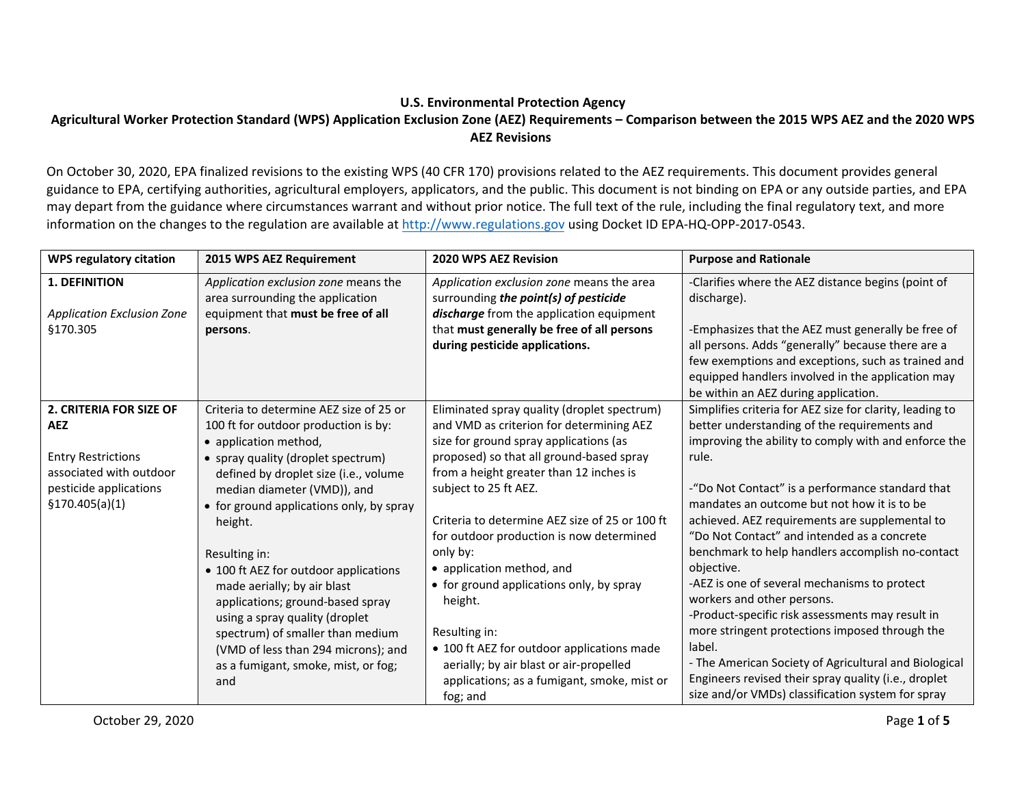## **U.S. Environmental Protection Agency**

## **Agricultural Worker Protection Standard (WPS) Application Exclusion Zone (AEZ) Requirements – Comparison between the 2015 WPS AEZ and the 2020 WPS AEZ Revisions**

 guidance to EPA, certifying authorities, agricultural employers, applicators, and the public. This document is not binding on EPA or any outside parties, and EPA may depart from the guidance where circumstances warrant and without prior notice. The full text of the rule, including the final regulatory text, and more information on the changes to the regulation are available at [http://www.regulations.gov](http://www.regulations.gov/) using Docket ID EPA-HQ-OPP-2017-0543. On October 30, 2020, EPA finalized revisions to the existing WPS [\(40 CFR 170\)](https://www.ecfr.gov/cgi-bin/text-idx?SID=9c977dceaf9c753cb49aa3cd453ae7a6&mc=true&node=pt40.24.170&rgn=div5#sp40.26.170.d) provisions related to the AEZ requirements. This document provides general

| <b>WPS regulatory citation</b>                                                                                                             | 2015 WPS AEZ Requirement                                                                                                                                                                                                                                                                                                                                                                                                                                                                                                                                              | 2020 WPS AEZ Revision                                                                                                                                                                                                                                                                                                                                                                                                                                                                                                                                                                                                | <b>Purpose and Rationale</b>                                                                                                                                                                                                                                                                                                                                                                                                                                                                                                                                                                                                                                                                                                                                                                                        |
|--------------------------------------------------------------------------------------------------------------------------------------------|-----------------------------------------------------------------------------------------------------------------------------------------------------------------------------------------------------------------------------------------------------------------------------------------------------------------------------------------------------------------------------------------------------------------------------------------------------------------------------------------------------------------------------------------------------------------------|----------------------------------------------------------------------------------------------------------------------------------------------------------------------------------------------------------------------------------------------------------------------------------------------------------------------------------------------------------------------------------------------------------------------------------------------------------------------------------------------------------------------------------------------------------------------------------------------------------------------|---------------------------------------------------------------------------------------------------------------------------------------------------------------------------------------------------------------------------------------------------------------------------------------------------------------------------------------------------------------------------------------------------------------------------------------------------------------------------------------------------------------------------------------------------------------------------------------------------------------------------------------------------------------------------------------------------------------------------------------------------------------------------------------------------------------------|
| <b>1. DEFINITION</b><br><b>Application Exclusion Zone</b><br>\$170.305                                                                     | Application exclusion zone means the<br>area surrounding the application<br>equipment that must be free of all<br>persons.                                                                                                                                                                                                                                                                                                                                                                                                                                            | Application exclusion zone means the area<br>surrounding the point(s) of pesticide<br>discharge from the application equipment<br>that must generally be free of all persons<br>during pesticide applications.                                                                                                                                                                                                                                                                                                                                                                                                       | -Clarifies where the AEZ distance begins (point of<br>discharge).<br>-Emphasizes that the AEZ must generally be free of<br>all persons. Adds "generally" because there are a<br>few exemptions and exceptions, such as trained and<br>equipped handlers involved in the application may<br>be within an AEZ during application.                                                                                                                                                                                                                                                                                                                                                                                                                                                                                     |
| 2. CRITERIA FOR SIZE OF<br><b>AEZ</b><br><b>Entry Restrictions</b><br>associated with outdoor<br>pesticide applications<br>\$170.405(a)(1) | Criteria to determine AEZ size of 25 or<br>100 ft for outdoor production is by:<br>• application method,<br>• spray quality (droplet spectrum)<br>defined by droplet size (i.e., volume<br>median diameter (VMD)), and<br>• for ground applications only, by spray<br>height.<br>Resulting in:<br>• 100 ft AEZ for outdoor applications<br>made aerially; by air blast<br>applications; ground-based spray<br>using a spray quality (droplet<br>spectrum) of smaller than medium<br>(VMD of less than 294 microns); and<br>as a fumigant, smoke, mist, or fog;<br>and | Eliminated spray quality (droplet spectrum)<br>and VMD as criterion for determining AEZ<br>size for ground spray applications (as<br>proposed) so that all ground-based spray<br>from a height greater than 12 inches is<br>subject to 25 ft AEZ.<br>Criteria to determine AEZ size of 25 or 100 ft<br>for outdoor production is now determined<br>only by:<br>• application method, and<br>• for ground applications only, by spray<br>height.<br>Resulting in:<br>• 100 ft AEZ for outdoor applications made<br>aerially; by air blast or air-propelled<br>applications; as a fumigant, smoke, mist or<br>fog; and | Simplifies criteria for AEZ size for clarity, leading to<br>better understanding of the requirements and<br>improving the ability to comply with and enforce the<br>rule.<br>-"Do Not Contact" is a performance standard that<br>mandates an outcome but not how it is to be<br>achieved. AEZ requirements are supplemental to<br>"Do Not Contact" and intended as a concrete<br>benchmark to help handlers accomplish no-contact<br>objective.<br>-AEZ is one of several mechanisms to protect<br>workers and other persons.<br>-Product-specific risk assessments may result in<br>more stringent protections imposed through the<br>label.<br>- The American Society of Agricultural and Biological<br>Engineers revised their spray quality (i.e., droplet<br>size and/or VMDs) classification system for spray |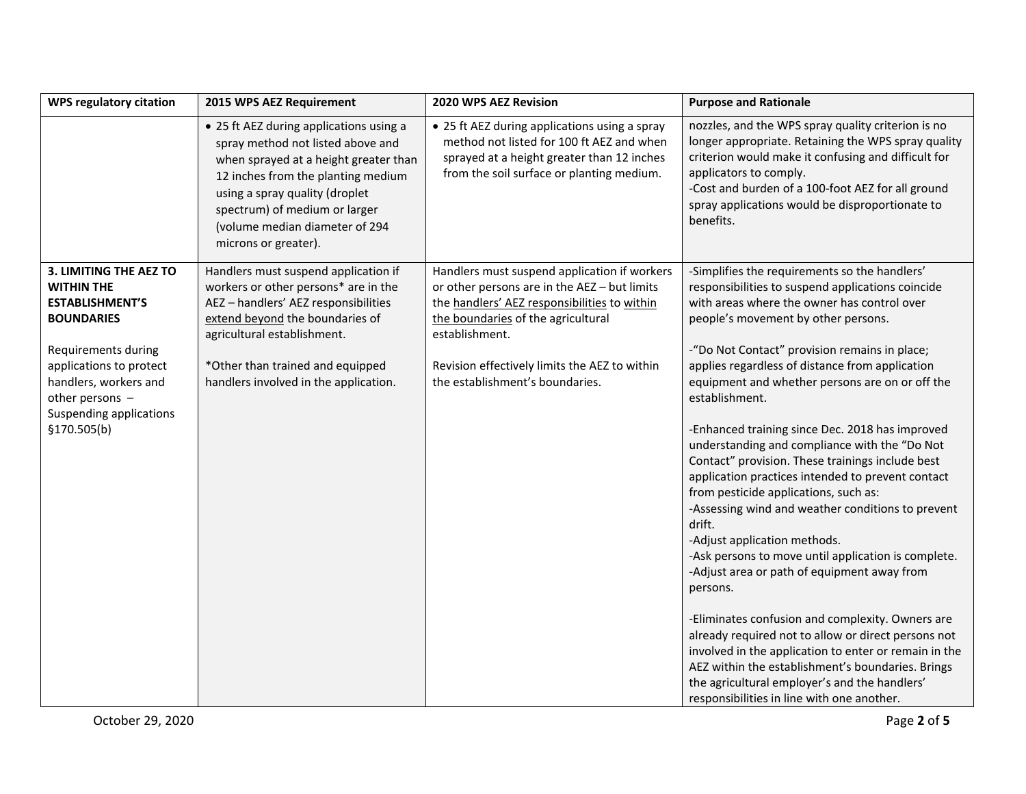| <b>WPS regulatory citation</b>                                                                                                                                                                                                        | 2015 WPS AEZ Requirement                                                                                                                                                                                                                                                                 | 2020 WPS AEZ Revision                                                                                                                                                                                                                                                                    | <b>Purpose and Rationale</b>                                                                                                                                                                                                                                                                                                                                                                                                                                                                                                                                                                                                                                                                                                                                                                                                                                                                                                                                                                                                                                                                                                                                     |
|---------------------------------------------------------------------------------------------------------------------------------------------------------------------------------------------------------------------------------------|------------------------------------------------------------------------------------------------------------------------------------------------------------------------------------------------------------------------------------------------------------------------------------------|------------------------------------------------------------------------------------------------------------------------------------------------------------------------------------------------------------------------------------------------------------------------------------------|------------------------------------------------------------------------------------------------------------------------------------------------------------------------------------------------------------------------------------------------------------------------------------------------------------------------------------------------------------------------------------------------------------------------------------------------------------------------------------------------------------------------------------------------------------------------------------------------------------------------------------------------------------------------------------------------------------------------------------------------------------------------------------------------------------------------------------------------------------------------------------------------------------------------------------------------------------------------------------------------------------------------------------------------------------------------------------------------------------------------------------------------------------------|
|                                                                                                                                                                                                                                       | • 25 ft AEZ during applications using a<br>spray method not listed above and<br>when sprayed at a height greater than<br>12 inches from the planting medium<br>using a spray quality (droplet<br>spectrum) of medium or larger<br>(volume median diameter of 294<br>microns or greater). | • 25 ft AEZ during applications using a spray<br>method not listed for 100 ft AEZ and when<br>sprayed at a height greater than 12 inches<br>from the soil surface or planting medium.                                                                                                    | nozzles, and the WPS spray quality criterion is no<br>longer appropriate. Retaining the WPS spray quality<br>criterion would make it confusing and difficult for<br>applicators to comply.<br>-Cost and burden of a 100-foot AEZ for all ground<br>spray applications would be disproportionate to<br>benefits.                                                                                                                                                                                                                                                                                                                                                                                                                                                                                                                                                                                                                                                                                                                                                                                                                                                  |
| 3. LIMITING THE AEZ TO<br><b>WITHIN THE</b><br><b>ESTABLISHMENT'S</b><br><b>BOUNDARIES</b><br>Requirements during<br>applications to protect<br>handlers, workers and<br>other persons $-$<br>Suspending applications<br>\$170.505(b) | Handlers must suspend application if<br>workers or other persons* are in the<br>AEZ-handlers' AEZ responsibilities<br>extend beyond the boundaries of<br>agricultural establishment.<br>*Other than trained and equipped<br>handlers involved in the application.                        | Handlers must suspend application if workers<br>or other persons are in the AEZ - but limits<br>the handlers' AEZ responsibilities to within<br>the boundaries of the agricultural<br>establishment.<br>Revision effectively limits the AEZ to within<br>the establishment's boundaries. | -Simplifies the requirements so the handlers'<br>responsibilities to suspend applications coincide<br>with areas where the owner has control over<br>people's movement by other persons.<br>-"Do Not Contact" provision remains in place;<br>applies regardless of distance from application<br>equipment and whether persons are on or off the<br>establishment.<br>-Enhanced training since Dec. 2018 has improved<br>understanding and compliance with the "Do Not<br>Contact" provision. These trainings include best<br>application practices intended to prevent contact<br>from pesticide applications, such as:<br>-Assessing wind and weather conditions to prevent<br>drift.<br>-Adjust application methods.<br>-Ask persons to move until application is complete.<br>-Adjust area or path of equipment away from<br>persons.<br>-Eliminates confusion and complexity. Owners are<br>already required not to allow or direct persons not<br>involved in the application to enter or remain in the<br>AEZ within the establishment's boundaries. Brings<br>the agricultural employer's and the handlers'<br>responsibilities in line with one another. |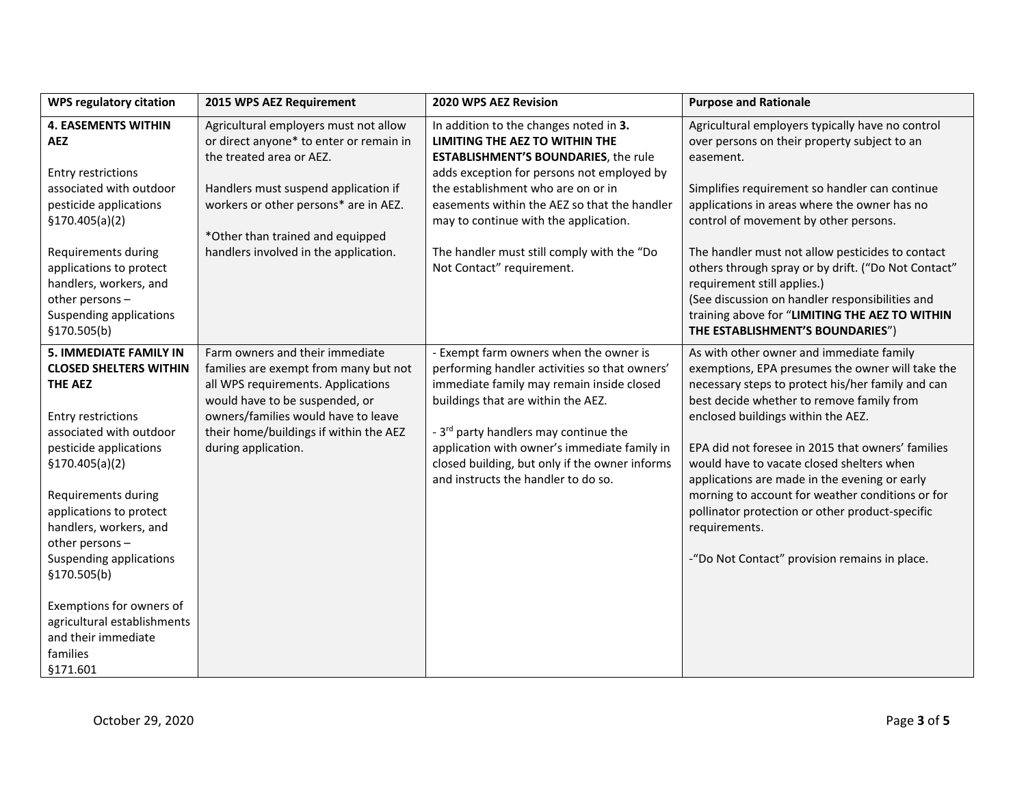| <b>WPS regulatory citation</b>                                                                                                                                                                                                                                                                                                 | 2015 WPS AEZ Requirement                                                                                                                                                                                                                                 | 2020 WPS AEZ Revision                                                                                                                                                                                                                                                                                                                                                    | <b>Purpose and Rationale</b>                                                                                                                                                                                                                                                                                                                                                                                                                                                                                                                                     |
|--------------------------------------------------------------------------------------------------------------------------------------------------------------------------------------------------------------------------------------------------------------------------------------------------------------------------------|----------------------------------------------------------------------------------------------------------------------------------------------------------------------------------------------------------------------------------------------------------|--------------------------------------------------------------------------------------------------------------------------------------------------------------------------------------------------------------------------------------------------------------------------------------------------------------------------------------------------------------------------|------------------------------------------------------------------------------------------------------------------------------------------------------------------------------------------------------------------------------------------------------------------------------------------------------------------------------------------------------------------------------------------------------------------------------------------------------------------------------------------------------------------------------------------------------------------|
| <b>4. EASEMENTS WITHIN</b><br><b>AEZ</b><br><b>Entry restrictions</b><br>associated with outdoor                                                                                                                                                                                                                               | Agricultural employers must not allow<br>or direct anyone* to enter or remain in<br>the treated area or AEZ.<br>Handlers must suspend application if                                                                                                     | In addition to the changes noted in 3.<br>LIMITING THE AEZ TO WITHIN THE<br><b>ESTABLISHMENT'S BOUNDARIES, the rule</b><br>adds exception for persons not employed by<br>the establishment who are on or in                                                                                                                                                              | Agricultural employers typically have no control<br>over persons on their property subject to an<br>easement.<br>Simplifies requirement so handler can continue                                                                                                                                                                                                                                                                                                                                                                                                  |
| pesticide applications<br>\$170.405(a)(2)                                                                                                                                                                                                                                                                                      | workers or other persons* are in AEZ.<br>*Other than trained and equipped                                                                                                                                                                                | easements within the AEZ so that the handler<br>may to continue with the application.                                                                                                                                                                                                                                                                                    | applications in areas where the owner has no<br>control of movement by other persons.                                                                                                                                                                                                                                                                                                                                                                                                                                                                            |
| Requirements during<br>applications to protect<br>handlers, workers, and<br>other persons-<br>Suspending applications<br>\$170.505(b)                                                                                                                                                                                          | handlers involved in the application.                                                                                                                                                                                                                    | The handler must still comply with the "Do<br>Not Contact" requirement.                                                                                                                                                                                                                                                                                                  | The handler must not allow pesticides to contact<br>others through spray or by drift. ("Do Not Contact"<br>requirement still applies.)<br>(See discussion on handler responsibilities and<br>training above for "LIMITING THE AEZ TO WITHIN<br>THE ESTABLISHMENT'S BOUNDARIES")                                                                                                                                                                                                                                                                                  |
| <b>5. IMMEDIATE FAMILY IN</b><br><b>CLOSED SHELTERS WITHIN</b><br><b>THE AEZ</b><br><b>Entry restrictions</b><br>associated with outdoor<br>pesticide applications<br>\$170.405(a)(2)<br>Requirements during<br>applications to protect<br>handlers, workers, and<br>other persons-<br>Suspending applications<br>\$170.505(b) | Farm owners and their immediate<br>families are exempt from many but not<br>all WPS requirements. Applications<br>would have to be suspended, or<br>owners/families would have to leave<br>their home/buildings if within the AEZ<br>during application. | - Exempt farm owners when the owner is<br>performing handler activities so that owners'<br>immediate family may remain inside closed<br>buildings that are within the AEZ.<br>- 3 <sup>rd</sup> party handlers may continue the<br>application with owner's immediate family in<br>closed building, but only if the owner informs<br>and instructs the handler to do so. | As with other owner and immediate family<br>exemptions, EPA presumes the owner will take the<br>necessary steps to protect his/her family and can<br>best decide whether to remove family from<br>enclosed buildings within the AEZ.<br>EPA did not foresee in 2015 that owners' families<br>would have to vacate closed shelters when<br>applications are made in the evening or early<br>morning to account for weather conditions or for<br>pollinator protection or other product-specific<br>requirements.<br>-"Do Not Contact" provision remains in place. |
| Exemptions for owners of<br>agricultural establishments<br>and their immediate<br>families<br>§171.601                                                                                                                                                                                                                         |                                                                                                                                                                                                                                                          |                                                                                                                                                                                                                                                                                                                                                                          |                                                                                                                                                                                                                                                                                                                                                                                                                                                                                                                                                                  |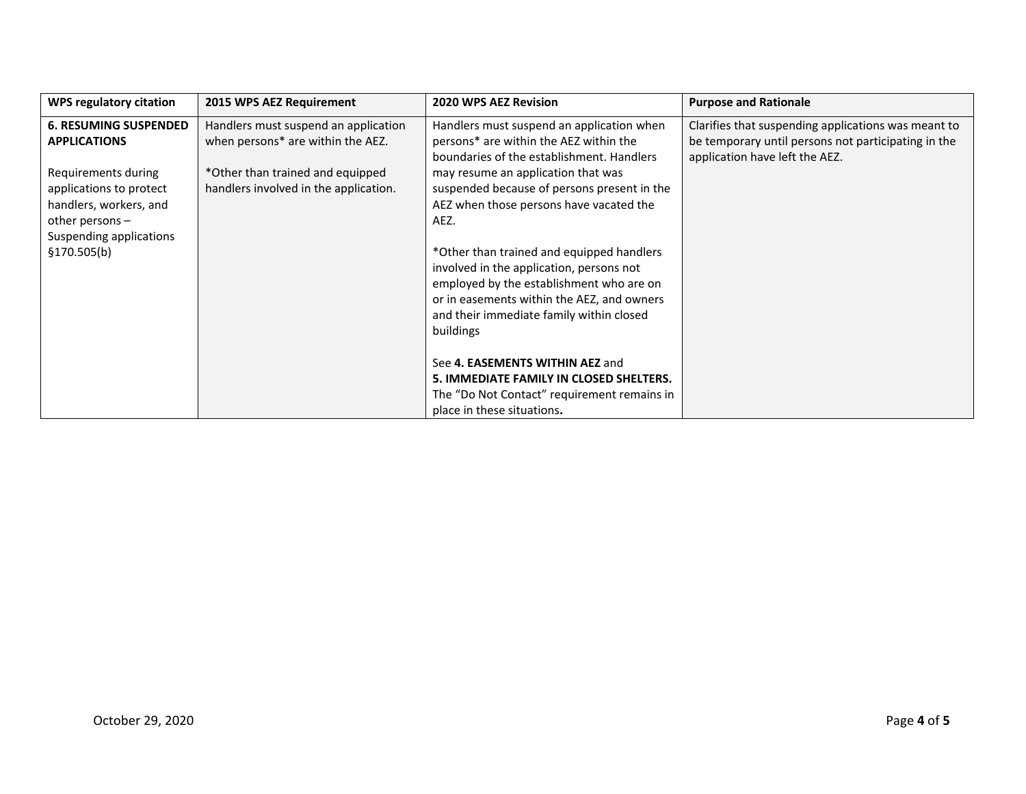| <b>WPS regulatory citation</b>                                                                                                                                                  | 2015 WPS AEZ Requirement                                                                                                                               | <b>2020 WPS AEZ Revision</b>                                                                                                                                                                                                                                             | <b>Purpose and Rationale</b>                                                                                                                 |
|---------------------------------------------------------------------------------------------------------------------------------------------------------------------------------|--------------------------------------------------------------------------------------------------------------------------------------------------------|--------------------------------------------------------------------------------------------------------------------------------------------------------------------------------------------------------------------------------------------------------------------------|----------------------------------------------------------------------------------------------------------------------------------------------|
| <b>6. RESUMING SUSPENDED</b><br><b>APPLICATIONS</b><br>Requirements during<br>applications to protect<br>handlers, workers, and<br>other persons $-$<br>Suspending applications | Handlers must suspend an application<br>when persons* are within the AEZ.<br>*Other than trained and equipped<br>handlers involved in the application. | Handlers must suspend an application when<br>persons* are within the AEZ within the<br>boundaries of the establishment. Handlers<br>may resume an application that was<br>suspended because of persons present in the<br>AEZ when those persons have vacated the<br>AEZ. | Clarifies that suspending applications was meant to<br>be temporary until persons not participating in the<br>application have left the AEZ. |
| \$170.505(b)                                                                                                                                                                    |                                                                                                                                                        | *Other than trained and equipped handlers<br>involved in the application, persons not<br>employed by the establishment who are on<br>or in easements within the AEZ, and owners<br>and their immediate family within closed<br>buildings                                 |                                                                                                                                              |
|                                                                                                                                                                                 |                                                                                                                                                        | See 4. EASEMENTS WITHIN AEZ and<br>5. IMMEDIATE FAMILY IN CLOSED SHELTERS.<br>The "Do Not Contact" requirement remains in<br>place in these situations.                                                                                                                  |                                                                                                                                              |